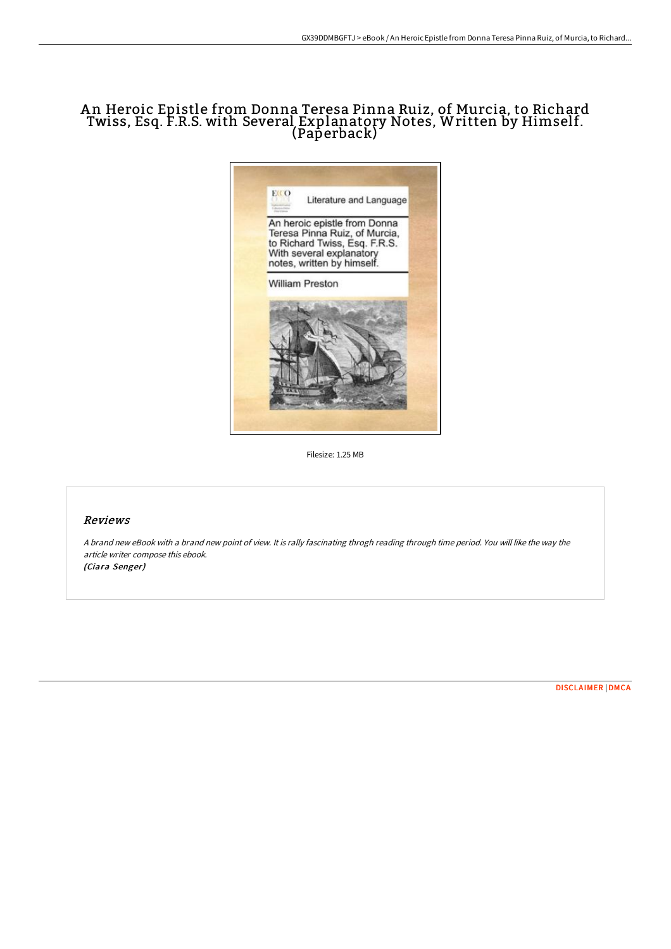# A n Heroic Epistle from Donna Teresa Pinna Ruiz, of Murcia, to Richard Twiss, Esq. F.R.S. with Several Explanatory Notes, Written by Himself. (Paperback)



Filesize: 1.25 MB

## Reviews

<sup>A</sup> brand new eBook with <sup>a</sup> brand new point of view. It is rally fascinating throgh reading through time period. You will like the way the article writer compose this ebook. (Ciara Senger)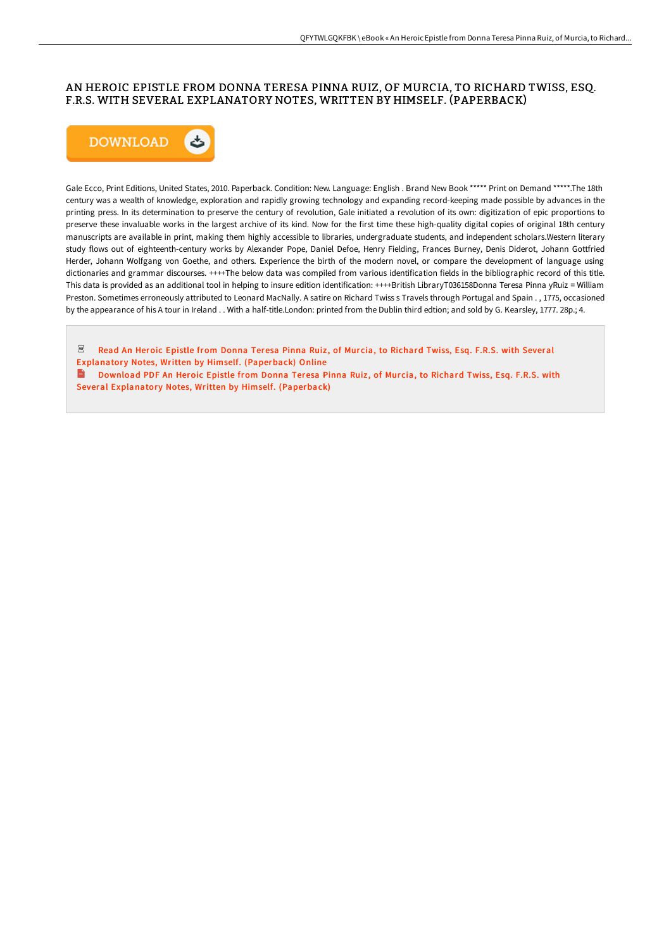# AN HEROIC EPISTLE FROM DONNA TERESA PINNA RUIZ, OF MURCIA, TO RICHARD TWISS, ESQ. F.R.S. WITH SEVERAL EXPLANATORY NOTES, WRITTEN BY HIMSELF. (PAPERBACK)



Gale Ecco, Print Editions, United States, 2010. Paperback. Condition: New. Language: English . Brand New Book \*\*\*\*\* Print on Demand \*\*\*\*\*.The 18th century was a wealth of knowledge, exploration and rapidly growing technology and expanding record-keeping made possible by advances in the printing press. In its determination to preserve the century of revolution, Gale initiated a revolution of its own: digitization of epic proportions to preserve these invaluable works in the largest archive of its kind. Now for the first time these high-quality digital copies of original 18th century manuscripts are available in print, making them highly accessible to libraries, undergraduate students, and independent scholars.Western literary study flows out of eighteenth-century works by Alexander Pope, Daniel Defoe, Henry Fielding, Frances Burney, Denis Diderot, Johann Gottfried Herder, Johann Wolfgang von Goethe, and others. Experience the birth of the modern novel, or compare the development of language using dictionaries and grammar discourses. ++++The below data was compiled from various identification fields in the bibliographic record of this title. This data is provided as an additional tool in helping to insure edition identification: ++++British LibraryT036158Donna Teresa Pinna yRuiz = William Preston. Sometimes erroneously attributed to Leonard MacNally. A satire on Richard Twiss s Travels through Portugal and Spain . , 1775, occasioned by the appearance of his A tour in Ireland . . With a half-title.London: printed from the Dublin third edtion; and sold by G. Kearsley, 1777. 28p.; 4.

 $_{\rm PDF}$ Read An Heroic Epistle from Donna Teresa Pinna Ruiz, of Murcia, to Richard Twiss, Esq. F.R.S. with Several Explanatory Notes, Written by Himself. [\(Paperback\)](http://albedo.media/an-heroic-epistle-from-donna-teresa-pinna-ruiz-o.html) Online  $\mathbf{m}$ Download PDF An Heroic Epistle from Donna Teresa Pinna Ruiz, of Murcia, to Richard Twiss, Esq. F.R.S. with Several Explanatory Notes, Written by Himself. [\(Paperback\)](http://albedo.media/an-heroic-epistle-from-donna-teresa-pinna-ruiz-o.html)